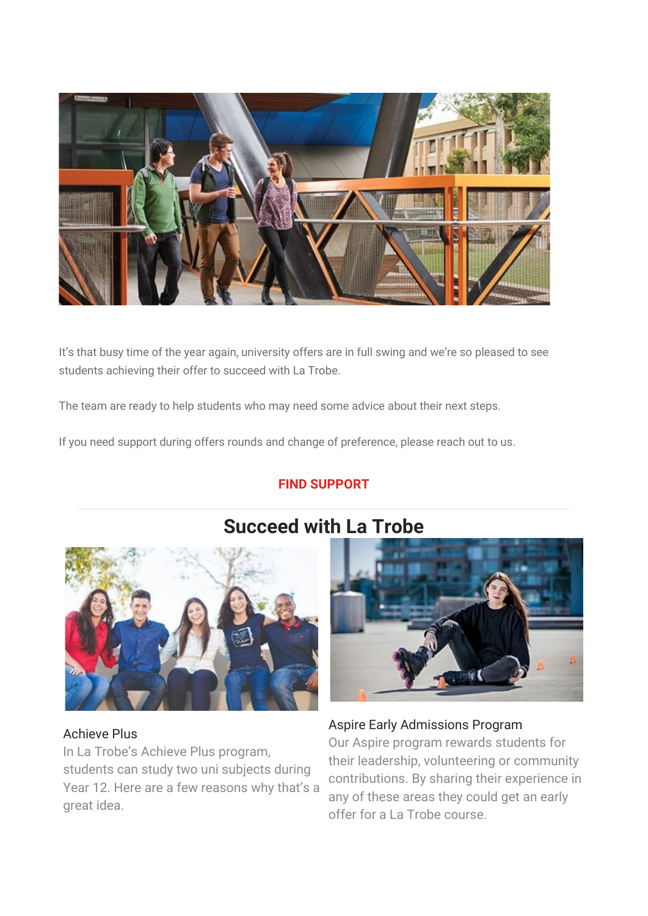

It's that busy time of the year again, university offers are in full swing and we're so pleased to see students achieving their offer to succeed with La Trobe.

The team are ready to help students who may need some advice about their next steps.

If you need support during offers rounds and change of preference, please reach out to us.

### **[FIND SUPPORT](https://t.email.latrobe.edu.au/r/?id=haa5ef0%2C2716dd1%2C2716dd4&cid=edm%3Aacs%3Anan%3Anan%3Ainf%3Anan%3Anan%3Anan%3Anan%3Anan%3Aall%3Abch%3Anan%3Anan&s=927De1OEjtKM7XwgGGXvnZioKbjVluB0W7PIjZ0IGnU)**



# **Succeed with La Trobe**



#### Achieve Plus

In La Trobe's Achieve Plus program, students can study two uni subjects during Year 12. Here are a few reasons why that's a great idea.

#### Aspire Early Admissions Program

Our Aspire program rewards students for their leadership, volunteering or community contributions. By sharing their experience in any of these areas they could get an early offer for a La Trobe course.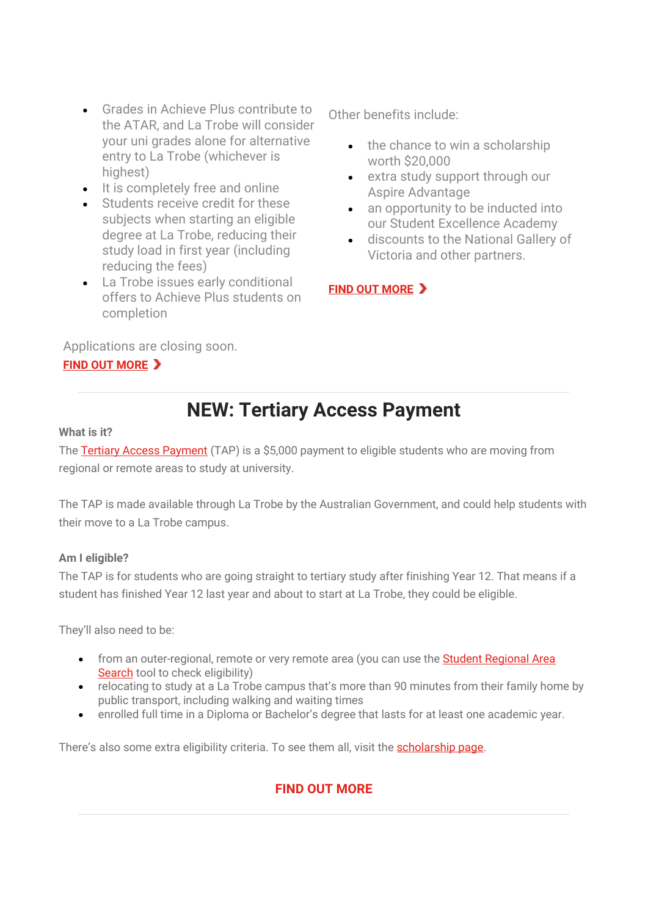- Grades in Achieve Plus contribute to the ATAR, and La Trobe will consider your uni grades alone for alternative entry to La Trobe (whichever is highest)
- It is completely free and online
- Students receive credit for these subjects when starting an eligible degree at La Trobe, reducing their study load in first year (including reducing the fees)
- La Trobe issues early conditional offers to Achieve Plus students on completion

Applications are closing soon.

#### **[FIND OUT MORE](https://t.email.latrobe.edu.au/r/?id=haa5ef0%2C2716dd1%2C2716dd5&cid=edm%3Aacs%3Anan%3Anan%3Ainf%3Anan%3Anan%3Anan%3Anan%3Anan%3Aall%3Abch%3Anan%3Anan&s=GmuTIK8CRj9Hgz6jLDx_GyxF5Rgzby7xcItD6IaejiY)**

Other benefits include:

- the chance to win a scholarship worth \$20,000
- extra study support through our Aspire Advantage
- an opportunity to be inducted into our Student Excellence Academy
- discounts to the National Gallery of Victoria and other partners.

#### **[FIND OUT MORE](https://t.email.latrobe.edu.au/r/?id=haa5ef0%2C2716dd1%2C2716dd7&cid=edm%3Aacs%3Anan%3Anan%3Ainf%3Anan%3Anan%3Anan%3Anan%3Anan%3Aall%3Abch%3Anan%3Anan&s=Fd3Yfg5nnusH89IJfqUHTZQ8RofN_WGBAG75TY7TB5g)**

## **NEW: Tertiary Access Payment**

#### **What is it?**

The [Tertiary Access Payment](https://t.email.latrobe.edu.au/r/?id=haa5ef0%2C2716dd1%2C2716dd9&cid=edm%3Aacs%3Anan%3Anan%3Ainf%3Anan%3Anan%3Anan%3Anan%3Anan%3Aall%3Abch%3Anan%3Anan&s=4VIDpvqEstik8smd-ECZvOayn2XxhZro5Nomf02iEqY) (TAP) is a \$5,000 payment to eligible students who are moving from regional or remote areas to study at university.

The TAP is made available through La Trobe by the Australian Government, and could help students with their move to a La Trobe campus.

#### **Am I eligible?**

The TAP is for students who are going straight to tertiary study after finishing Year 12. That means if a student has finished Year 12 last year and about to start at La Trobe, they could be eligible.

They'll also need to be:

- from an outer-regional, remote or very remote area (you can use the **Student Regional Area** [Search](https://t.email.latrobe.edu.au/r/?id=haa5ef0%2C2716dd1%2C2716dda&cid=edm%3Aacs%3Anan%3Anan%3Ainf%3Anan%3Anan%3Anan%3Anan%3Anan%3Aall%3Abch%3Anan%3Anan&s=Q6xauxvTFzT2JmXkpv4Gx_nbDhEvbC4Hn6S4uGmiAEs) tool to check eligibility)
- relocating to study at a La Trobe campus that's more than 90 minutes from their family home by public transport, including walking and waiting times
- enrolled full time in a Diploma or Bachelor's degree that lasts for at least one academic year.

There's also some extra eligibility criteria. To see them all, visit the [scholarship page.](https://t.email.latrobe.edu.au/r/?id=haa5ef0%2C2716dd1%2C2716ddb&cid=edm%3Aacs%3Anan%3Anan%3Ainf%3Anan%3Anan%3Anan%3Anan%3Anan%3Aall%3Abch%3Anan%3Anan&s=VT-p4xuSKTb73QaAAU5hUy_NYUtikR2SbrKehrlM2DM)

### **[FIND OUT MORE](https://t.email.latrobe.edu.au/r/?id=haa5ef0%2C2716dd1%2C2716ddc&cid=edm%3Aacs%3Anan%3Anan%3Ainf%3Anan%3Anan%3Anan%3Anan%3Anan%3Aall%3Abch%3Anan%3Anan&s=bjwqBmn8EO_sOmIQlgsCloUmL0BqD6XdJwWzfPHf2Qo)**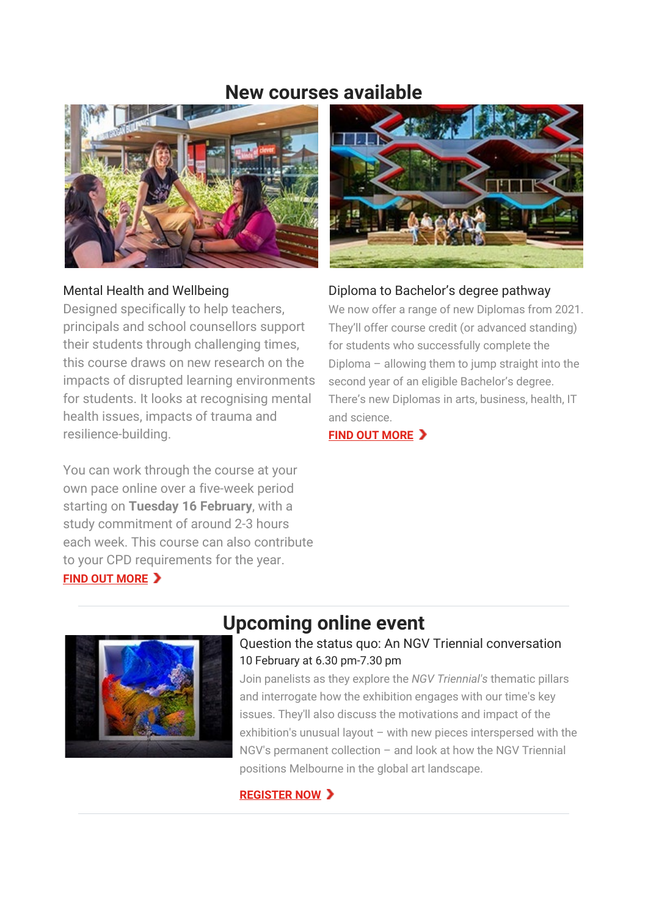## **New courses available**



#### Mental Health and Wellbeing

Designed specifically to help teachers, principals and school counsellors support their students through challenging times, this course draws on new research on the impacts of disrupted learning environments for students. It looks at recognising mental health issues, impacts of trauma and resilience-building.

You can work through the course at your own pace online over a five-week period starting on **Tuesday 16 February**, with a study commitment of around 2-3 hours each week. This course can also contribute to your CPD requirements for the year. **[FIND OUT MORE](https://t.email.latrobe.edu.au/r/?id=haa5ef0%2C2716dd1%2C2716ddd&cid=edm%3Aacs%3Anan%3Anan%3Ainf%3Anan%3Anan%3Anan%3Anan%3Anan%3Aall%3Abch%3Anan%3Anan&s=UOrgBPoo0OIGqVxAoTfskre7MY4kWV7yv8qdIWhTmXs)** 



#### Diploma to Bachelor's degree pathway

We now offer a range of new Diplomas from 2021. They'll offer course credit (or advanced standing) for students who successfully complete the Diploma – allowing them to jump straight into the second year of an eligible Bachelor's degree. There's new Diplomas in arts, business, health, IT and science.

**[FIND OUT MORE](https://t.email.latrobe.edu.au/r/?id=haa5ef0%2C2716dd1%2C2716ddf&cid=edm%3Aacs%3Anan%3Anan%3Ainf%3Anan%3Anan%3Anan%3Anan%3Anan%3Aall%3Abch%3Anan%3Anan&s=BdXrfxIjGdM5-ysTOssxEwnlxco1AA8KNxLcJgSKo4E)** 



## **Upcoming online event**

#### Question the status quo: An NGV Triennial conversation 10 February at 6.30 pm-7.30 pm

Join panelists as they explore the *NGV Triennial's* thematic pillars and interrogate how the exhibition engages with our time's key issues. They'll also discuss the motivations and impact of the exhibition's unusual layout – with new pieces interspersed with the NGV's permanent collection – and look at how the NGV Triennial positions Melbourne in the global art landscape.

#### **[REGISTER NOW](https://t.email.latrobe.edu.au/r/?id=haa5ef0%2C2716dd1%2C2716de1&cid=edm%3Aacs%3Anan%3Anan%3Ainf%3Anan%3Anan%3Anan%3Anan%3Anan%3Aall%3Abch%3Anan%3Anan&s=JmOrH6fnjkik1N9ru4Nbpx836orhYwmqCg7Tx9iPfaM)**